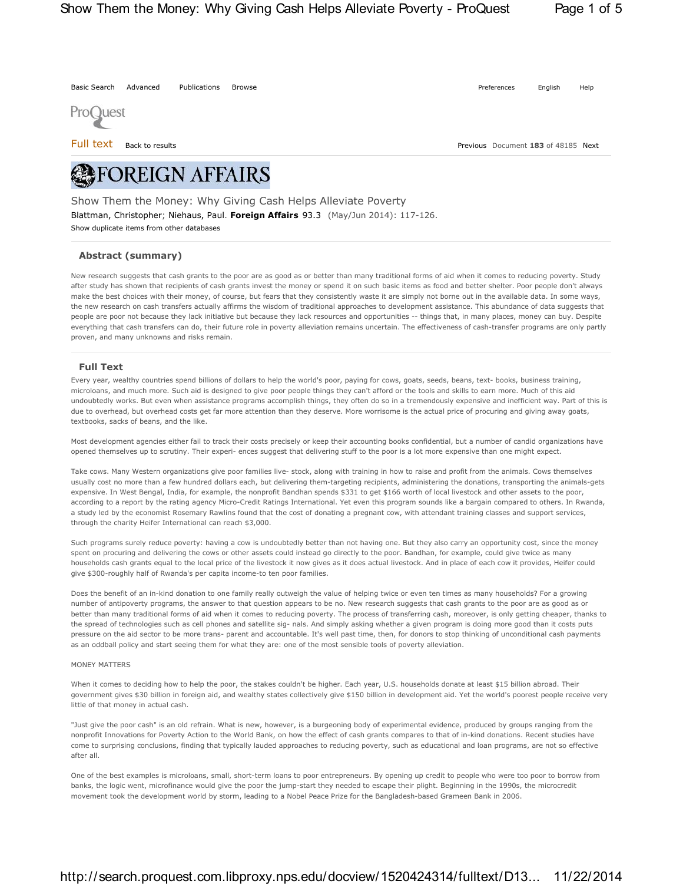Basic Search Advanced Publications Browse **Property** Preferences English Help



Full text Back to results Previous Document **183** of 48185 Next

# **REFOREIGN AFFAIRS**

Show duplicate items from other databases Show Them the Money: Why Giving Cash Helps Alleviate Poverty Blattman, Christopher; Niehaus, Paul. **Foreign Affairs** 93.3 (May/Jun 2014): 117-126.

## **Abstract (summary)**

New research suggests that cash grants to the poor are as good as or better than many traditional forms of aid when it comes to reducing poverty. Study after study has shown that recipients of cash grants invest the money or spend it on such basic items as food and better shelter. Poor people don't always make the best choices with their money, of course, but fears that they consistently waste it are simply not borne out in the available data. In some ways, the new research on cash transfers actually affirms the wisdom of traditional approaches to development assistance. This abundance of data suggests that people are poor not because they lack initiative but because they lack resources and opportunities -- things that, in many places, money can buy. Despite everything that cash transfers can do, their future role in poverty alleviation remains uncertain. The effectiveness of cash-transfer programs are only partly proven, and many unknowns and risks remain.

### **Full Text**

Every year, wealthy countries spend billions of dollars to help the world's poor, paying for cows, goats, seeds, beans, text- books, business training, microloans, and much more. Such aid is designed to give poor people things they can't afford or the tools and skills to earn more. Much of this aid undoubtedly works. But even when assistance programs accomplish things, they often do so in a tremendously expensive and inefficient way. Part of this is due to overhead, but overhead costs get far more attention than they deserve. More worrisome is the actual price of procuring and giving away goats, textbooks, sacks of beans, and the like.

Most development agencies either fail to track their costs precisely or keep their accounting books confidential, but a number of candid organizations have opened themselves up to scrutiny. Their experi- ences suggest that delivering stuff to the poor is a lot more expensive than one might expect.

Take cows. Many Western organizations give poor families live- stock, along with training in how to raise and profit from the animals. Cows themselves usually cost no more than a few hundred dollars each, but delivering them-targeting recipients, administering the donations, transporting the animals-gets expensive. In West Bengal, India, for example, the nonprofit Bandhan spends \$331 to get \$166 worth of local livestock and other assets to the poor, according to a report by the rating agency Micro-Credit Ratings International. Yet even this program sounds like a bargain compared to others. In Rwanda, a study led by the economist Rosemary Rawlins found that the cost of donating a pregnant cow, with attendant training classes and support services, through the charity Heifer International can reach \$3,000.

Such programs surely reduce poverty: having a cow is undoubtedly better than not having one. But they also carry an opportunity cost, since the money spent on procuring and delivering the cows or other assets could instead go directly to the poor. Bandhan, for example, could give twice as many households cash grants equal to the local price of the livestock it now gives as it does actual livestock. And in place of each cow it provides, Heifer could give \$300-roughly half of Rwanda's per capita income-to ten poor families.

Does the benefit of an in-kind donation to one family really outweigh the value of helping twice or even ten times as many households? For a growing number of antipoverty programs, the answer to that question appears to be no. New research suggests that cash grants to the poor are as good as or better than many traditional forms of aid when it comes to reducing poverty. The process of transferring cash, moreover, is only getting cheaper, thanks to the spread of technologies such as cell phones and satellite sig- nals. And simply asking whether a given program is doing more good than it costs puts pressure on the aid sector to be more trans- parent and accountable. It's well past time, then, for donors to stop thinking of unconditional cash payments as an oddball policy and start seeing them for what they are: one of the most sensible tools of poverty alleviation.

#### MONEY MATTERS

When it comes to deciding how to help the poor, the stakes couldn't be higher. Each year, U.S. households donate at least \$15 billion abroad. Their government gives \$30 billion in foreign aid, and wealthy states collectively give \$150 billion in development aid. Yet the world's poorest people receive very little of that money in actual cash.

"Just give the poor cash" is an old refrain. What is new, however, is a burgeoning body of experimental evidence, produced by groups ranging from the nonprofit Innovations for Poverty Action to the World Bank, on how the effect of cash grants compares to that of in-kind donations. Recent studies have come to surprising conclusions, finding that typically lauded approaches to reducing poverty, such as educational and loan programs, are not so effective after all.

One of the best examples is microloans, small, short-term loans to poor entrepreneurs. By opening up credit to people who were too poor to borrow from banks, the logic went, microfinance would give the poor the jump-start they needed to escape their plight. Beginning in the 1990s, the microcredit movement took the development world by storm, leading to a Nobel Peace Prize for the Bangladesh-based Grameen Bank in 2006.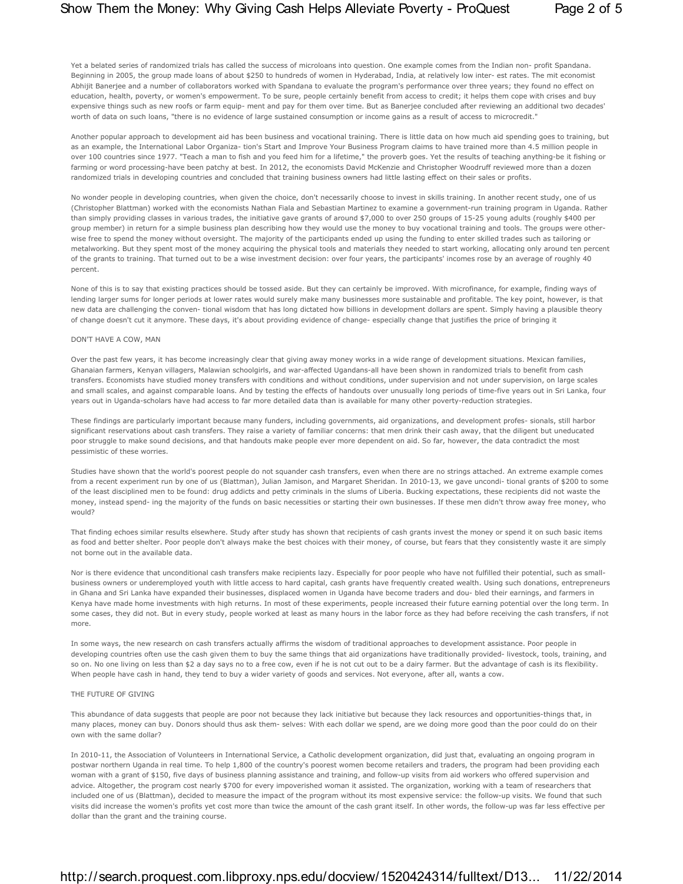Yet a belated series of randomized trials has called the success of microloans into question. One example comes from the Indian non- profit Spandana. Beginning in 2005, the group made loans of about \$250 to hundreds of women in Hyderabad, India, at relatively low inter- est rates. The mit economist Abhijit Baneriee and a number of collaborators worked with Spandana to evaluate the program's performance over three years; they found no effect on education, health, poverty, or women's empowerment. To be sure, people certainly benefit from access to credit; it helps them cope with crises and buy expensive things such as new roofs or farm equip- ment and pay for them over time. But as Banerjee concluded after reviewing an additional two decades' worth of data on such loans, "there is no evidence of large sustained consumption or income gains as a result of access to microcredit."

Another popular approach to development aid has been business and vocational training. There is little data on how much aid spending goes to training, but as an example, the International Labor Organiza- tion's Start and Improve Your Business Program claims to have trained more than 4.5 million people in over 100 countries since 1977. "Teach a man to fish and you feed him for a lifetime," the proverb goes. Yet the results of teaching anything-be it fishing or farming or word processing-have been patchy at best. In 2012, the economists David McKenzie and Christopher Woodruff reviewed more than a dozen randomized trials in developing countries and concluded that training business owners had little lasting effect on their sales or profits.

No wonder people in developing countries, when given the choice, don't necessarily choose to invest in skills training. In another recent study, one of us (Christopher Blattman) worked with the economists Nathan Fiala and Sebastian Martinez to examine a government-run training program in Uganda. Rather than simply providing classes in various trades, the initiative gave grants of around \$7,000 to over 250 groups of 15-25 young adults (roughly \$400 per group member) in return for a simple business plan describing how they would use the money to buy vocational training and tools. The groups were otherwise free to spend the money without oversight. The majority of the participants ended up using the funding to enter skilled trades such as tailoring or metalworking. But they spent most of the money acquiring the physical tools and materials they needed to start working, allocating only around ten percent of the grants to training. That turned out to be a wise investment decision: over four years, the participants' incomes rose by an average of roughly 40 percent.

None of this is to say that existing practices should be tossed aside. But they can certainly be improved. With microfinance, for example, finding ways of lending larger sums for longer periods at lower rates would surely make many businesses more sustainable and profitable. The key point, however, is that new data are challenging the conven- tional wisdom that has long dictated how billions in development dollars are spent. Simply having a plausible theory of change doesn't cut it anymore. These days, it's about providing evidence of change- especially change that justifies the price of bringing it

#### DON'T HAVE A COW, MAN

Over the past few years, it has become increasingly clear that giving away money works in a wide range of development situations. Mexican families, Ghanaian farmers, Kenyan villagers, Malawian schoolgirls, and war-affected Ugandans-all have been shown in randomized trials to benefit from cash transfers. Economists have studied money transfers with conditions and without conditions, under supervision and not under supervision, on large scales and small scales, and against comparable loans. And by testing the effects of handouts over unusually long periods of time-five years out in Sri Lanka, four years out in Uganda-scholars have had access to far more detailed data than is available for many other poverty-reduction strategies.

These findings are particularly important because many funders, including governments, aid organizations, and development profes- sionals, still harbor significant reservations about cash transfers. They raise a variety of familiar concerns: that men drink their cash away, that the diligent but uneducated poor struggle to make sound decisions, and that handouts make people ever more dependent on aid. So far, however, the data contradict the most pessimistic of these worries.

Studies have shown that the world's poorest people do not squander cash transfers, even when there are no strings attached. An extreme example comes from a recent experiment run by one of us (Blattman), Julian Jamison, and Margaret Sheridan. In 2010-13, we gave uncondi- tional grants of \$200 to some of the least disciplined men to be found: drug addicts and petty criminals in the slums of Liberia. Bucking expectations, these recipients did not waste the money, instead spend- ing the majority of the funds on basic necessities or starting their own businesses. If these men didn't throw away free money, who would?

That finding echoes similar results elsewhere. Study after study has shown that recipients of cash grants invest the money or spend it on such basic items as food and better shelter. Poor people don't always make the best choices with their money, of course, but fears that they consistently waste it are simply not borne out in the available data.

Nor is there evidence that unconditional cash transfers make recipients lazy. Especially for poor people who have not fulfilled their potential, such as smallbusiness owners or underemployed youth with little access to hard capital, cash grants have frequently created wealth. Using such donations, entrepreneurs in Ghana and Sri Lanka have expanded their businesses, displaced women in Uganda have become traders and dou- bled their earnings, and farmers in Kenya have made home investments with high returns. In most of these experiments, people increased their future earning potential over the long term. In some cases, they did not. But in every study, people worked at least as many hours in the labor force as they had before receiving the cash transfers, if not more.

In some ways, the new research on cash transfers actually affirms the wisdom of traditional approaches to development assistance. Poor people in developing countries often use the cash given them to buy the same things that aid organizations have traditionally provided- livestock, tools, training, and so on. No one living on less than \$2 a day says no to a free cow, even if he is not cut out to be a dairy farmer. But the advantage of cash is its flexibility. When people have cash in hand, they tend to buy a wider variety of goods and services. Not everyone, after all, wants a cow.

#### THE FUTURE OF GIVING

This abundance of data suggests that people are poor not because they lack initiative but because they lack resources and opportunities-things that, in many places, money can buy. Donors should thus ask them- selves: With each dollar we spend, are we doing more good than the poor could do on their own with the same dollar?

In 2010-11, the Association of Volunteers in International Service, a Catholic development organization, did just that, evaluating an ongoing program in postwar northern Uganda in real time. To help 1,800 of the country's poorest women become retailers and traders, the program had been providing each woman with a grant of \$150, five days of business planning assistance and training, and follow-up visits from aid workers who offered supervision and advice. Altogether, the program cost nearly \$700 for every impoverished woman it assisted. The organization, working with a team of researchers that included one of us (Blattman), decided to measure the impact of the program without its most expensive service: the follow-up visits. We found that such visits did increase the women's profits yet cost more than twice the amount of the cash grant itself. In other words, the follow-up was far less effective per dollar than the grant and the training course.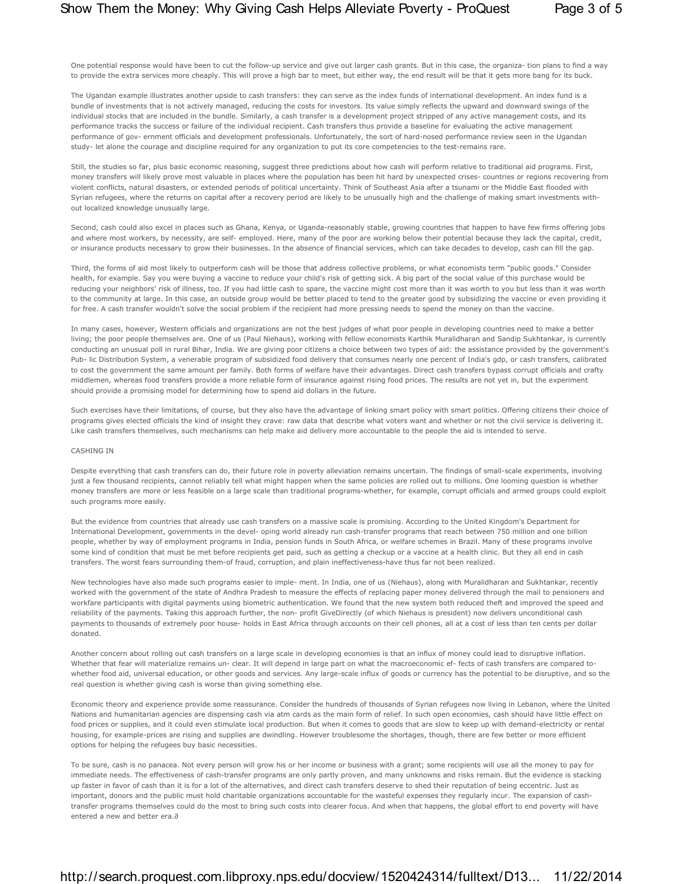One potential response would have been to cut the follow-up service and give out larger cash grants. But in this case, the organiza- tion plans to find a way to provide the extra services more cheaply. This will prove a high bar to meet, but either way, the end result will be that it gets more bang for its buck.

The Ugandan example illustrates another upside to cash transfers: they can serve as the index funds of international development. An index fund is a bundle of investments that is not actively managed, reducing the costs for investors. Its value simply reflects the upward and downward swings of the individual stocks that are included in the bundle. Similarly, a cash transfer is a development project stripped of any active management costs, and its performance tracks the success or failure of the individual recipient. Cash transfers thus provide a baseline for evaluating the active management performance of gov- ernment officials and development professionals. Unfortunately, the sort of hard-nosed performance review seen in the Ugandan study- let alone the courage and discipline required for any organization to put its core competencies to the test-remains rare.

Still, the studies so far, plus basic economic reasoning, suggest three predictions about how cash will perform relative to traditional aid programs. First, money transfers will likely prove most valuable in places where the population has been hit hard by unexpected crises- countries or regions recovering from violent conflicts, natural disasters, or extended periods of political uncertainty. Think of Southeast Asia after a tsunami or the Middle East flooded with Syrian refugees, where the returns on capital after a recovery period are likely to be unusually high and the challenge of making smart investments without localized knowledge unusually large.

Second, cash could also excel in places such as Ghana, Kenya, or Uganda-reasonably stable, growing countries that happen to have few firms offering jobs and where most workers, by necessity, are self- employed. Here, many of the poor are working below their potential because they lack the capital, credit, or insurance products necessary to grow their businesses. In the absence of financial services, which can take decades to develop, cash can fill the gap.

Third, the forms of aid most likely to outperform cash will be those that address collective problems, or what economists term "public goods." Consider health, for example. Say you were buying a vaccine to reduce your child's risk of getting sick. A big part of the social value of this purchase would be reducing your neighbors' risk of illness, too. If you had little cash to spare, the vaccine might cost more than it was worth to you but less than it was worth to the community at large. In this case, an outside group would be better placed to tend to the greater good by subsidizing the vaccine or even providing it for free. A cash transfer wouldn't solve the social problem if the recipient had more pressing needs to spend the money on than the vaccine.

In many cases, however, Western officials and organizations are not the best judges of what poor people in developing countries need to make a better living; the poor people themselves are. One of us (Paul Niehaus), working with fellow economists Karthik Muralidharan and Sandip Sukhtankar, is currently conducting an unusual poll in rural Bihar, India. We are giving poor citizens a choice between two types of aid: the assistance provided by the government's Pub- lic Distribution System, a venerable program of subsidized food delivery that consumes nearly one percent of India's gdp, or cash transfers, calibrated to cost the government the same amount per family. Both forms of welfare have their advantages. Direct cash transfers bypass corrupt officials and crafty middlemen, whereas food transfers provide a more reliable form of insurance against rising food prices. The results are not yet in, but the experiment should provide a promising model for determining how to spend aid dollars in the future.

Such exercises have their limitations, of course, but they also have the advantage of linking smart policy with smart politics. Offering citizens their choice of programs gives elected officials the kind of insight they crave: raw data that describe what voters want and whether or not the civil service is delivering it. Like cash transfers themselves, such mechanisms can help make aid delivery more accountable to the people the aid is intended to serve.

#### CASHING IN

Despite everything that cash transfers can do, their future role in poverty alleviation remains uncertain. The findings of small-scale experiments, involving just a few thousand recipients, cannot reliably tell what might happen when the same policies are rolled out to millions. One looming question is whether money transfers are more or less feasible on a large scale than traditional programs-whether, for example, corrupt officials and armed groups could exploit such programs more easily.

But the evidence from countries that already use cash transfers on a massive scale is promising. According to the United Kingdom's Department for International Development, governments in the devel- oping world already run cash-transfer programs that reach between 750 million and one billion people, whether by way of employment programs in India, pension funds in South Africa, or welfare schemes in Brazil. Many of these programs involve some kind of condition that must be met before recipients get paid, such as getting a checkup or a vaccine at a health clinic. But they all end in cash transfers. The worst fears surrounding them-of fraud, corruption, and plain ineffectiveness-have thus far not been realized.

New technologies have also made such programs easier to imple- ment. In India, one of us (Niehaus), along with Muralidharan and Sukhtankar, recently worked with the government of the state of Andhra Pradesh to measure the effects of replacing paper money delivered through the mail to pensioners and workfare participants with digital payments using biometric authentication. We found that the new system both reduced theft and improved the speed and reliability of the payments. Taking this approach further, the non- profit GiveDirectly (of which Niehaus is president) now delivers unconditional cash payments to thousands of extremely poor house- holds in East Africa through accounts on their cell phones, all at a cost of less than ten cents per dollar donated.

Another concern about rolling out cash transfers on a large scale in developing economies is that an influx of money could lead to disruptive inflation. Whether that fear will materialize remains un- clear. It will depend in large part on what the macroeconomic ef- fects of cash transfers are compared towhether food aid, universal education, or other goods and services. Any large-scale influx of goods or currency has the potential to be disruptive, and so the real question is whether giving cash is worse than giving something else.

Economic theory and experience provide some reassurance. Consider the hundreds of thousands of Syrian refugees now living in Lebanon, where the United Nations and humanitarian agencies are dispensing cash via atm cards as the main form of relief. In such open economies, cash should have little effect on food prices or supplies, and it could even stimulate local production. But when it comes to goods that are slow to keep up with demand-electricity or rental housing, for example-prices are rising and supplies are dwindling. However troublesome the shortages, though, there are few better or more efficient options for helping the refugees buy basic necessities.

To be sure, cash is no panacea. Not every person will grow his or her income or business with a grant; some recipients will use all the money to pay for immediate needs. The effectiveness of cash-transfer programs are only partly proven, and many unknowns and risks remain. But the evidence is stacking up faster in favor of cash than it is for a lot of the alternatives, and direct cash transfers deserve to shed their reputation of being eccentric. Just as important, donors and the public must hold charitable organizations accountable for the wasteful expenses they regularly incur. The expansion of cashtransfer programs themselves could do the most to bring such costs into clearer focus. And when that happens, the global effort to end poverty will have entered a new and better era.∂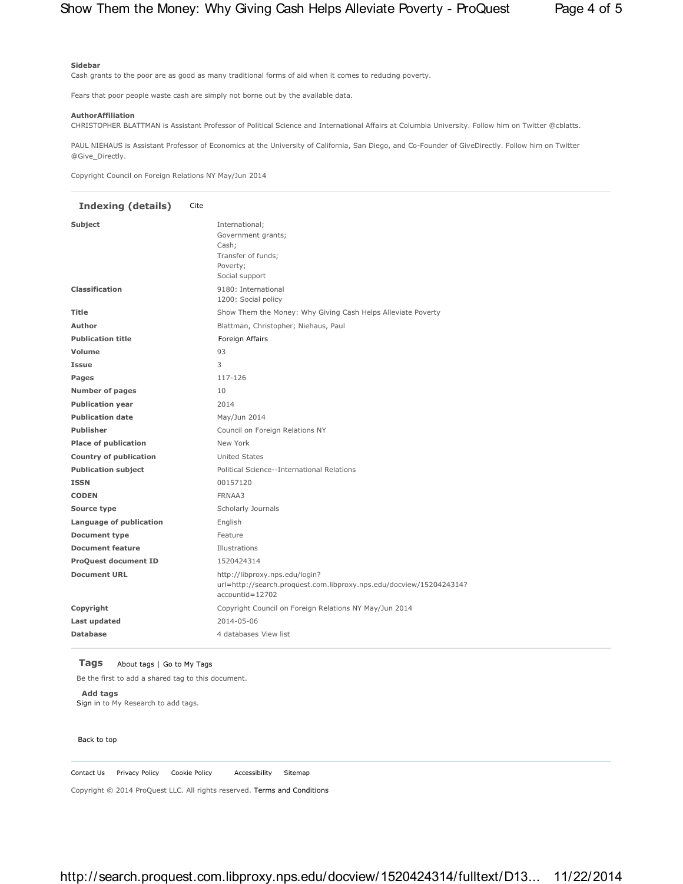#### **Sidebar**

Cash grants to the poor are as good as many traditional forms of aid when it comes to reducing poverty.

Fears that poor people waste cash are simply not borne out by the available data.

#### **AuthorAffiliation**

CHRISTOPHER BLATTMAN is Assistant Professor of Political Science and International Affairs at Columbia University. Follow him on Twitter @cblatts.

PAUL NIEHAUS is Assistant Professor of Economics at the University of California, San Diego, and Co-Founder of GiveDirectly. Follow him on Twitter @Give\_Directly.

Copyright Council on Foreign Relations NY May/Jun 2014

# **Indexing (details)** Cite Subject International; Government grants; Cash; Transfer of funds; Poverty; Social support **Classification** 9180: International 1200: Social policy Title **Show Them the Money: Why Giving Cash Helps Alleviate Poverty Author** Blattman, Christopher; Niehaus, Paul Publication title **Foreign Affairs Volume** 93 **Issue** 3 **Pages** 117-126 **Number of pages** 10 **Publication year** 2014 Publication date May/Jun 2014 **Publisher** Council on Foreign Relations NY **Place of publication** New York **Country of publication** United States **Publication subject** Political Science--International Relations **ISSN** 00157120 **CODEN** FRNAA3 **Source type** Scholarly Journals **Language of publication** English **Document type** Feature **Document feature Illustrations ProQuest document ID** 1520424314 **Document URL** http://libproxy.nps.edu/login? url=http://search.proquest.com.libproxy.nps.edu/docview/1520424314? accountid=12702 **Copyright** Copyright Council on Foreign Relations NY May/Jun 2014 **Last updated** 2014-05-06 **Database** 4 databases View list

#### **Tags** About tags | Go to My Tags

Be the first to add a shared tag to this document.

**Add tags** Sign in to My Research to add tags.

#### Back to top

Contact Us Privacy Policy Cookie Policy Accessibility Sitemap

Copyright © 2014 ProQuest LLC. All rights reserved. Terms and Conditions